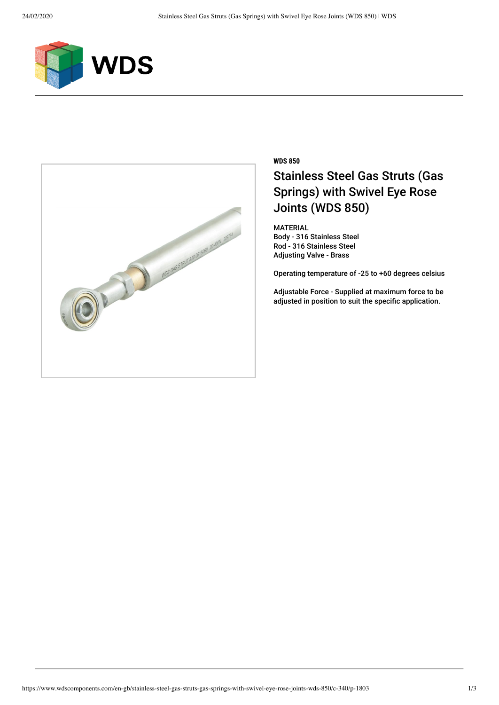



## **WDS 850** Stainless Steel Gas Struts (Gas Springs) with Swivel Eye Rose Joints (WDS 850)

MATERIAL Body - 316 Stainless Steel Rod - 316 Stainless Steel Adjusting Valve - Brass

Operating temperature of -25 to +60 degrees celsius

Adjustable Force - Supplied at maximum force to be adjusted in position to suit the specific application.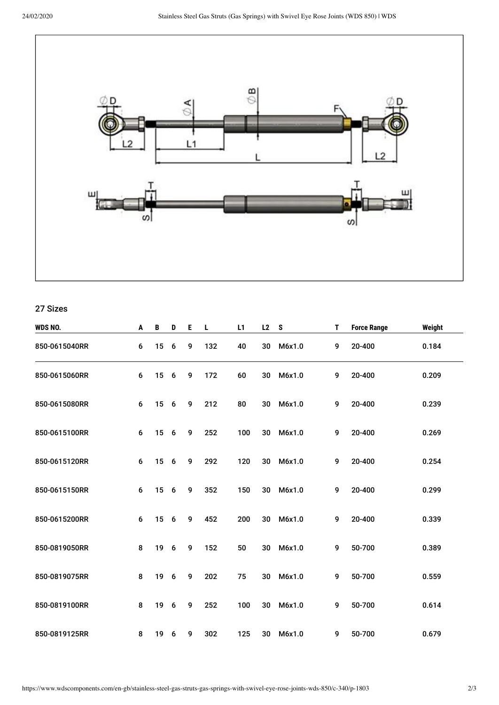

## 27 Sizes

| WDS NO.       | A       | B  | D               | E | L   | L1  | L2 | S      | T | <b>Force Range</b> | Weight |
|---------------|---------|----|-----------------|---|-----|-----|----|--------|---|--------------------|--------|
| 850-0615040RR | 6       | 15 | $6\phantom{1}6$ | 9 | 132 | 40  | 30 | M6x1.0 | 9 | 20-400             | 0.184  |
| 850-0615060RR | 6       | 15 | 6               | 9 | 172 | 60  | 30 | M6x1.0 | 9 | 20-400             | 0.209  |
| 850-0615080RR | 6       | 15 | 6               | 9 | 212 | 80  | 30 | M6x1.0 | 9 | 20-400             | 0.239  |
| 850-0615100RR | $\bf 6$ | 15 | 6               | 9 | 252 | 100 | 30 | M6x1.0 | 9 | 20-400             | 0.269  |
| 850-0615120RR | 6       | 15 | 6               | 9 | 292 | 120 | 30 | M6x1.0 | 9 | 20-400             | 0.254  |
| 850-0615150RR | $\bf 6$ | 15 | 6               | 9 | 352 | 150 | 30 | M6x1.0 | 9 | 20-400             | 0.299  |
| 850-0615200RR | 6       | 15 | 6               | 9 | 452 | 200 | 30 | M6x1.0 | 9 | 20-400             | 0.339  |
| 850-0819050RR | 8       | 19 | 6               | 9 | 152 | 50  | 30 | M6x1.0 | 9 | 50-700             | 0.389  |
| 850-0819075RR | 8       | 19 | 6               | 9 | 202 | 75  | 30 | M6x1.0 | 9 | 50-700             | 0.559  |
| 850-0819100RR | 8       | 19 | 6               | 9 | 252 | 100 | 30 | M6x1.0 | 9 | 50-700             | 0.614  |
| 850-0819125RR | 8       | 19 | 6               | 9 | 302 | 125 | 30 | M6x1.0 | 9 | 50-700             | 0.679  |